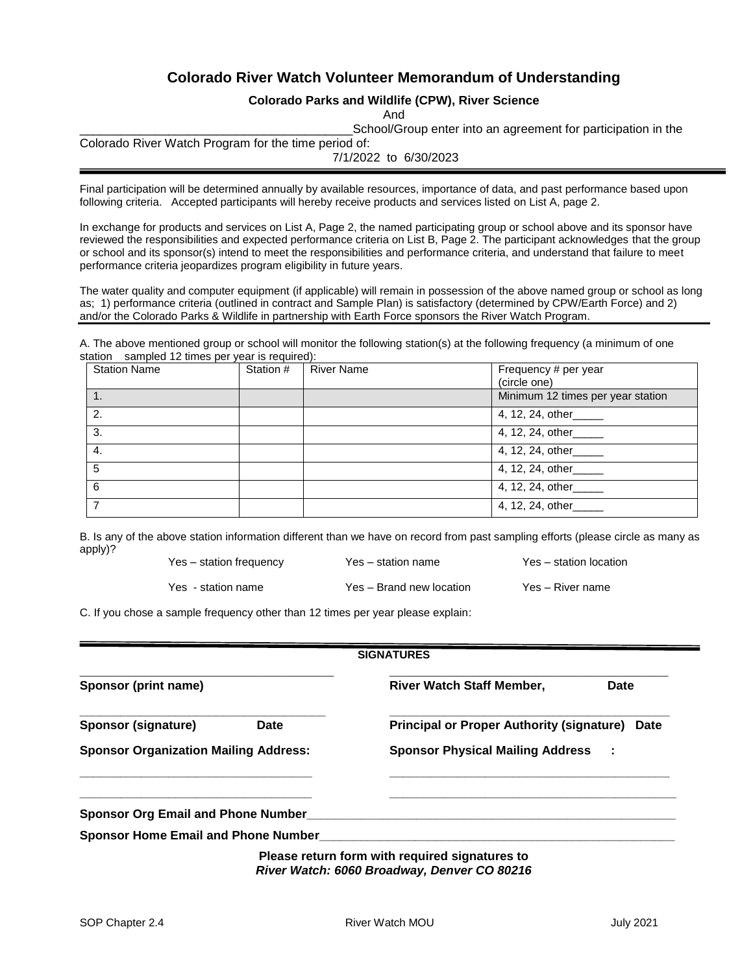## **Colorado River Watch Volunteer Memorandum of Understanding**

#### **Colorado Parks and Wildlife (CPW), River Science**

And

\_\_\_\_\_\_\_\_\_\_\_\_\_\_\_\_\_\_\_\_\_\_\_\_\_\_\_\_\_\_\_\_\_\_\_\_\_\_\_\_School/Group enter into an agreement for participation in the

Colorado River Watch Program for the time period of:

7/1/2022 to 6/30/2023

Final participation will be determined annually by available resources, importance of data, and past performance based upon following criteria. Accepted participants will hereby receive products and services listed on List A, page 2.

In exchange for products and services on List A, Page 2, the named participating group or school above and its sponsor have reviewed the responsibilities and expected performance criteria on List B, Page 2. The participant acknowledges that the group or school and its sponsor(s) intend to meet the responsibilities and performance criteria, and understand that failure to meet performance criteria jeopardizes program eligibility in future years.

The water quality and computer equipment (if applicable) will remain in possession of the above named group or school as long as; 1) performance criteria (outlined in contract and Sample Plan) is satisfactory (determined by CPW/Earth Force) and 2) and/or the Colorado Parks & Wildlife in partnership with Earth Force sponsors the River Watch Program.

A. The above mentioned group or school will monitor the following station(s) at the following frequency (a minimum of one station sampled 12 times per year is required):

| <b>Station Name</b> | Station # | <b>River Name</b> | Frequency # per year<br>(circle one) |
|---------------------|-----------|-------------------|--------------------------------------|
|                     |           |                   | Minimum 12 times per year station    |
| 2.                  |           |                   | 4, 12, 24, other_____                |
| 3.                  |           |                   | 4, 12, 24, other_____                |
| 4.                  |           |                   | 4, 12, 24, other_____                |
| 5                   |           |                   | 4, 12, 24, other_____                |
| 6                   |           |                   | 4, 12, 24, other_____                |
|                     |           |                   | 4, 12, 24, other_____                |

B. Is any of the above station information different than we have on record from past sampling efforts (please circle as many as apply)?

Yes - station name Yes – Brand new location Yes – River name

Yes – station frequency Yes – station name Yes – station location

C. If you chose a sample frequency other than 12 times per year please explain:

|                                              | <b>SIGNATURES</b>                                                                             |  |  |
|----------------------------------------------|-----------------------------------------------------------------------------------------------|--|--|
| Sponsor (print name)                         | <b>River Watch Staff Member,</b><br><b>Date</b>                                               |  |  |
| Sponsor (signature)<br>Date                  | <b>Principal or Proper Authority (signature) Date</b>                                         |  |  |
| <b>Sponsor Organization Mailing Address:</b> | <b>Sponsor Physical Mailing Address :</b>                                                     |  |  |
| <b>Sponsor Org Email and Phone Number</b>    |                                                                                               |  |  |
| <b>Sponsor Home Email and Phone Number</b>   |                                                                                               |  |  |
|                                              | Please return form with required signatures to<br>River Watch: 6060 Broadway, Denver CO 80216 |  |  |